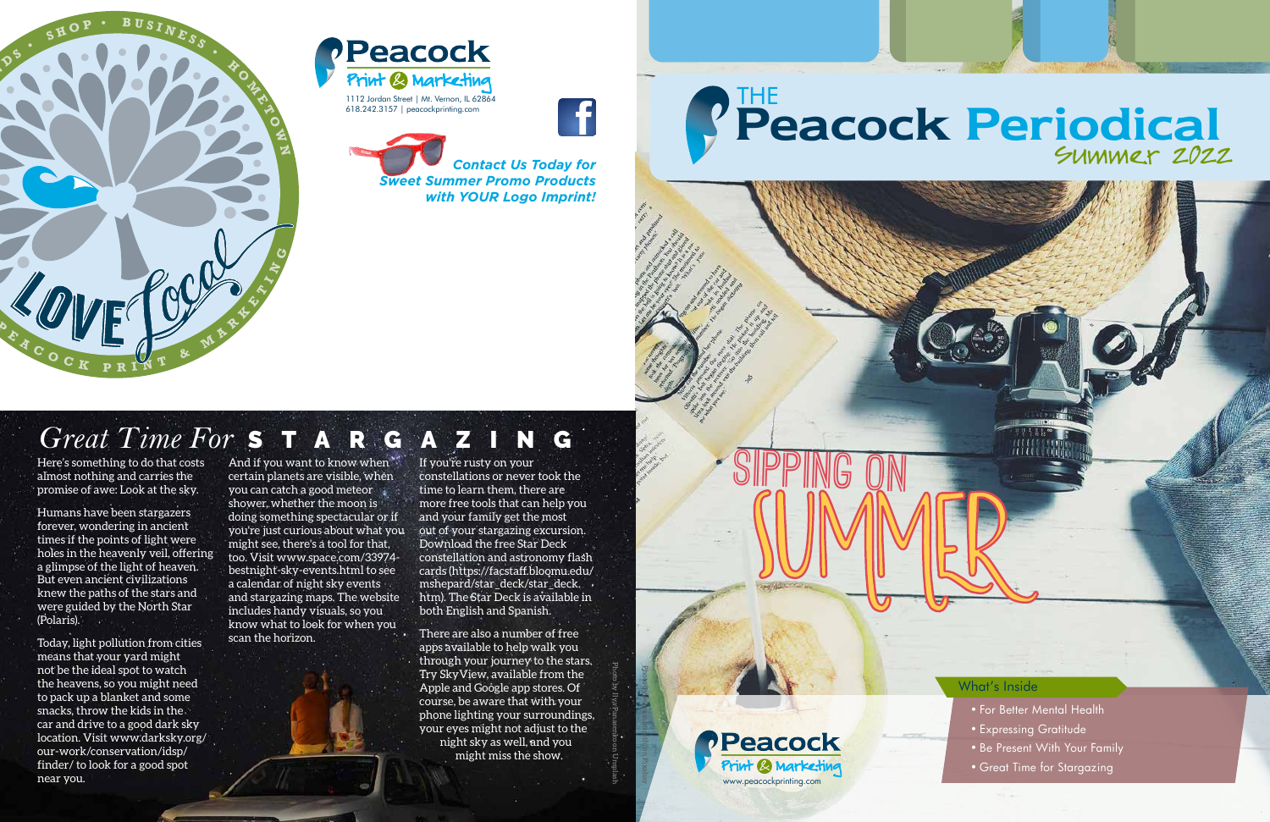*Contact Us Today for*

*Sweet Summer Promo Products*

**THE** 

 *with YOUR Logo Imprint!*

Photo by Ilya Panasenko on Unsplash



Here's something to do that costs almost nothing and carries the promise of awe: Look at the sky.

Humans have been stargazers forever, wondering in ancient times if the points of light were holes in the heavenly veil, offering a glimpse of the light of heaven. But even ancient civilizations knew the paths of the stars and were guided by the North Star (Polaris).

And if you want to know when" certain planets are visible, when you can catch a good meteor shower, whether the moon is doing something spectacular or if you're just curious about what you might see, there's a tool for that, too. Visit www.space.com/33974 bestnight-sky-events.html to see a calendar of night sky events and stargazing maps. The website includes handy visuals, so you know what to look for when you scan the horizon.

Today, light pollution from cities means that your yard might not be the ideal spot to watch the heavens, so you might need to pack up a blanket and some snacks, throw the kids in the car and drive to a good dark sky location. Visit www.darksky.org/ our-work/conservation/idsp/ finder/ to look for a good spot near you.

If you're rusty on your constellations or never took the time to learn them, there are more free tools that can help you and your family get the most out of your stargazing excursion. Download the free Star Deck constellation and astronomy flash cards (https://facstaff.bloomu.edu/ mshepard/star\_deck/star\_deck. htm). The Star Deck is available in both English and Spanish.

There are also a number of free apps available to help walk you through your journey to the stars. Try SkyView, available from the Apple and Google app stores. Of course, be aware that with your phone lighting your surroundings, your eyes might not adjust to the night sky as well, and you might miss the show.

Photo by veerasantinithi on Pixabay

Summer

Sipping on





## 618.242.3157 | peacockprinting.com Peacock Periodical Summer 2022

- For Better Mental Health
- Expressing Gratitude
- Be Present With Your Family
- Great Time for Stargazing

#### What's Inside